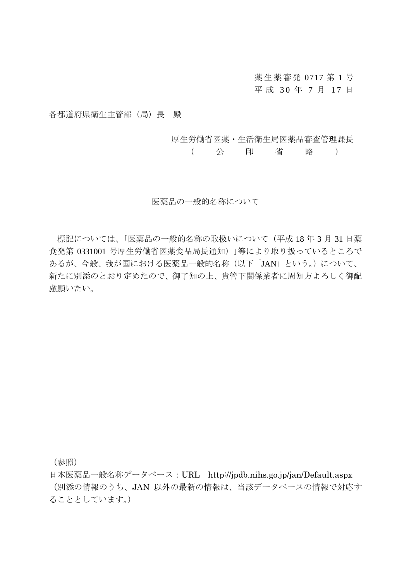薬生薬審発 0717 第 1 号 平 成 30 年 7 月 17 日

各都道府県衛生主管部(局)長 殿

厚生労働省医薬・生活衛生局医薬品審査管理課長

( 公 印 省 略 )

医薬品の一般的名称について

標記については、「医薬品の一般的名称の取扱いについて(平成 18 年 3 月 31 日薬 食発第 0331001 号厚生労働省医薬食品局長通知)」等により取り扱っているところで あるが、今般、我が国における医薬品一般的名称(以下「JAN」という。)について、 新たに別添のとおり定めたので、御了知の上、貴管下関係業者に周知方よろしく御配 慮願いたい。

(参照)

日本医薬品一般名称データベース:URL http://jpdb.nihs.go.jp/jan/Default.aspx (別添の情報のうち、JAN 以外の最新の情報は、当該データベースの情報で対応す ることとしています。)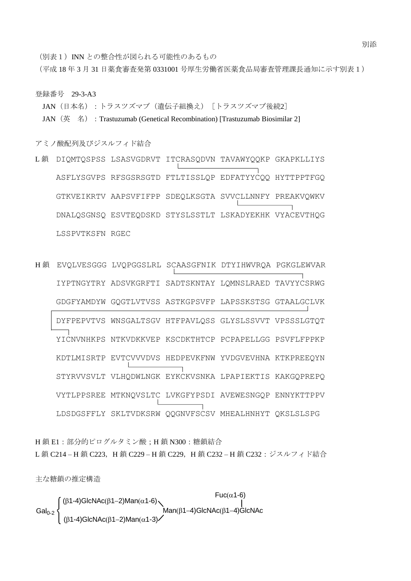(別表1) INN との整合性が図られる可能性のあるもの

(平成 18 年 3 月 31 日薬食審査発第 0331001 号厚生労働省医薬食品局審査管理課長通知に示す別表1)

登録番号 29-3-A3

JAN (日本名):トラスツズマブ(遺伝子組換え)「トラスツズマブ後続2] JAN (英 名): Trastuzumab (Genetical Recombination) [Trastuzumab Biosimilar 2]

アミノ酸配列及びジスルフィド結合

L 鎖 DIQMTQSPSS LSASVGDRVT ITCRASQDVN TAVAWYQQKP GKAPKLLIYS ASFLYSGVPS RFSGSRSGTD FTLTISSLQP EDFATYYCQQ HYTTPPTFGQ GTKVEIKRTV AAPSVFIFPP SDEQLKSGTA SVVCLLNNFY PREAKVQWKV DNALQSGNSQ ESVTEQDSKD STYSLSSTLT LSKADYEKHK VYACEVTHQG LSSPVTKSFN RGEC

H 鎖 EVQLVESGGG LVQPGGSLRL SCAASGFNIK DTYIHWVRQA PGKGLEWVAR IYPTNGYTRY ADSVKGRFTI SADTSKNTAY LQMNSLRAED TAVYYCSRWG GDGFYAMDYW GQGTLVTVSS ASTKGPSVFP LAPSSKSTSG GTAALGCLVK DYFPEPVTVS WNSGALTSGV HTFPAVLQSS GLYSLSSVVT VPSSSLGTQT YICNVNHKPS NTKVDKKVEP KSCDKTHTCP PCPAPELLGG PSVFLFPPKP KDTLMISRTP EVTCVVVDVS HEDPEVKFNW YVDGVEVHNA KTKPREEQYN STYRVVSVLT VLHQDWLNGK EYKCKVSNKA LPAPIEKTIS KAKGQPREPQ VYTLPPSREE MTKNQVSLTC LVKGFYPSDI AVEWESNGQP ENNYKTTPPV LDSDGSFFLY SKLTVDKSRW QQGNVFSCSV MHEALHNHYT QKSLSLSPG

H 鎖 E1:部分的ピログルタミン酸;H 鎖 N300:糖鎖結合 L鎖 C214-H鎖 C223, H鎖 C229-H鎖 C229, H鎖 C232-H鎖 C232:ジスルフィド結合

主な糖鎖の推定構造

$$
Gal0-2
$$
\n
$$
Gal0-2
$$
\n
$$
Gal0-2
$$
\n
$$
(β1-4)GlcNAc(β1-2)Man(α1-6)
$$
\n
$$
Man(β1-4)GlcNAc(β1-4)GlcNAc(β1-4)GlcNAc(β1-4)GlcNAc(β1-4)GlcNAc(β1-4)GlcNAc(β1-4)GlcNAc(β1-4)GlcNAc(β1-4)GlcNAc(β1-4)GlcNAc(β1-4)GlcNAc(β1-4)GlcNAc(β1-4)GlcNAc(β1-4)GlcNAc(β1-4)GlcNAc(β1-4)GlcNAc(β1-4)GlcNAc(β1-4)GlcNAc(β1-4)GlcNAc(β1-4)GlcNAc(β1-4)GlcNAc(β1-4)GlcNAc(β1-4)GlcNAc(β1-4)GlcNAc(β1-4)GlcNAc(β1-4)GlcNAc(β1-4)GlcNAc(β1-4)GlcNAc(β1-4)GlcNAc(β1-4)GlcNAc(β1-4)GlcNAc(β1-4)GlcNAc(β1-4)GlcNAc(β1-4)GlcNAc(β1-4)GlcNAc(β1-4)GlcNAc(β1-4)GlcNAc(β1-4)GlcNAc(β1-4)GlcNAc(β1-4)GlcNAc(β1-4)GlcNAc(β1-4)GlcNAc(β1-4)GlcNAc(β1-4)GlcNAc(β1-4)GlcNAc(β1-4)GlcNAc(β1-4)GlcNAc(β1-4)GlcNAc(β1-4)GlcNAc(β1-4)GlcNAc(β1-4)GlcNAc(β1-4)GlcNAc(β1-4)GlcNAc(β1-4)GlcNAc(β1-4)GlcNAc(β1-4)GlcNAc(β1-4)GlcNAc(β1-4)GlcNAc(β1-4)GlcNAc(β1-4)GlcNAc(β1-4)GlcNAc(β1-4)GlcNAc(β1-4)GlcNAc(β1-4)GlcNAc(β1-4)GlcNAc(β1-4)GlcNAc(β1-4)GlcN
$$